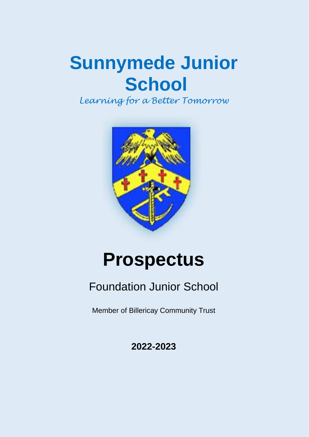# **Sunnymede Junior School**

*Learning for a Better Tomorrow*



# **Prospectus**

# Foundation Junior School

Member of Billericay Community Trust

**2022-2023**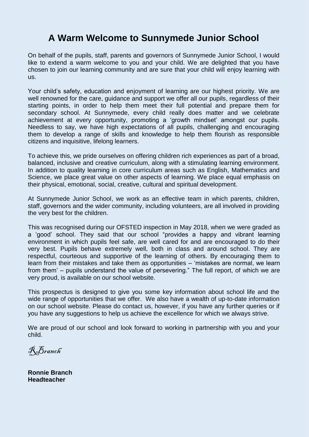# **A Warm Welcome to Sunnymede Junior School**

On behalf of the pupils, staff, parents and governors of Sunnymede Junior School, I would like to extend a warm welcome to you and your child. We are delighted that you have chosen to join our learning community and are sure that your child will enjoy learning with us.

Your child's safety, education and enjoyment of learning are our highest priority. We are well renowned for the care, guidance and support we offer all our pupils, regardless of their starting points, in order to help them meet their full potential and prepare them for secondary school. At Sunnymede, every child really does matter and we celebrate achievement at every opportunity, promoting a 'growth mindset' amongst our pupils. Needless to say, we have high expectations of all pupils, challenging and encouraging them to develop a range of skills and knowledge to help them flourish as responsible citizens and inquisitive, lifelong learners.

To achieve this, we pride ourselves on offering children rich experiences as part of a broad, balanced, inclusive and creative curriculum, along with a stimulating learning environment. In addition to quality learning in core curriculum areas such as English, Mathematics and Science, we place great value on other aspects of learning. We place equal emphasis on their physical, emotional, social, creative, cultural and spiritual development.

At Sunnymede Junior School, we work as an effective team in which parents, children, staff, governors and the wider community, including volunteers, are all involved in providing the very best for the children.

This was recognised during our OFSTED inspection in May 2018, when we were graded as a 'good' school. They said that our school "provides a happy and vibrant learning environment in which pupils feel safe, are well cared for and are encouraged to do their very best. Pupils behave extremely well, both in class and around school. They are respectful, courteous and supportive of the learning of others. By encouraging them to learn from their mistakes and take them as opportunities – 'mistakes are normal, we learn from them' – pupils understand the value of persevering." The full report, of which we are very proud, is available on our school website.

This prospectus is designed to give you some key information about school life and the wide range of opportunities that we offer. We also have a wealth of up-to-date information on our school website. Please do contact us, however, if you have any further queries or if you have any suggestions to help us achieve the excellence for which we always strive.

We are proud of our school and look forward to working in partnership with you and your child.

RBranch

**Ronnie Branch Headteacher**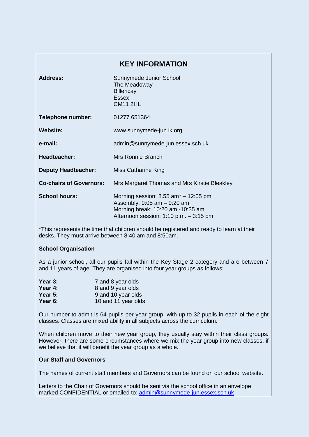| <b>KEY INFORMATION</b>         |                                                                                                                                                                       |  |
|--------------------------------|-----------------------------------------------------------------------------------------------------------------------------------------------------------------------|--|
| Address:                       | Sunnymede Junior School<br>The Meadoway<br>Billericay<br><b>Essex</b><br><b>CM11 2HL</b>                                                                              |  |
| <b>Telephone number:</b>       | 01277 651364                                                                                                                                                          |  |
| Website:                       | www.sunnymede-jun.ik.org                                                                                                                                              |  |
| e-mail:                        | admin@sunnymede-jun.essex.sch.uk                                                                                                                                      |  |
| <b>Headteacher:</b>            | Mrs Ronnie Branch                                                                                                                                                     |  |
| <b>Deputy Headteacher:</b>     | Miss Catharine King                                                                                                                                                   |  |
| <b>Co-chairs of Governors:</b> | Mrs Margaret Thomas and Mrs Kirstie Bleakley                                                                                                                          |  |
| <b>School hours:</b>           | Morning session: $8.55$ am <sup>*</sup> $- 12:05$ pm<br>Assembly: $9:05$ am $-9:20$ am<br>Morning break: 10:20 am -10:35 am<br>Afternoon session: 1:10 p.m. - 3:15 pm |  |

\*This represents the time that children should be registered and ready to learn at their desks. They must arrive between 8:40 am and 8:50am.

# **School Organisation**

As a junior school, all our pupils fall within the Key Stage 2 category and are between 7 and 11 years of age. They are organised into four year groups as follows:

| Year $3:$ | 7 and 8 year olds   |
|-----------|---------------------|
| Year 4:   | 8 and 9 year olds   |
| Year $5:$ | 9 and 10 year olds  |
| Year 6:   | 10 and 11 year olds |

Our number to admit is 64 pupils per year group, with up to 32 pupils in each of the eight classes. Classes are mixed ability in all subjects across the curriculum.

When children move to their new year group, they usually stay within their class groups. However, there are some circumstances where we mix the year group into new classes, if we believe that it will benefit the year group as a whole.

#### **Our Staff and Governors**

The names of current staff members and Governors can be found on our school website.

Letters to the Chair of Governors should be sent via the school office in an envelope marked CONFIDENTIAL or emailed to: [admin@sunnymede-jun.essex.sch.uk](mailto:admin@sunnymede-jun.essex.sch.uk)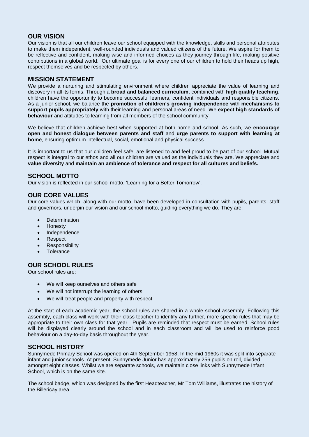# **OUR VISION**

Our vision is that all our children leave our school equipped with the knowledge, skills and personal attributes to make them independent, well-rounded individuals and valued citizens of the future. We aspire for them to be reflective and confident, making wise and informed choices as they journey through life, making positive contributions in a global world. Our ultimate goal is for every one of our children to hold their heads up high, respect themselves and be respected by others.

# **MISSION STATEMENT**

We provide a nurturing and stimulating environment where children appreciate the value of learning and discovery in all its forms. Through a **broad and balanced curriculum**, combined with **high quality teaching**, children have the opportunity to become successful learners, confident individuals and responsible citizens. As a junior school, we balance the **promotion of children's growing independence** with **mechanisms to support pupils appropriately** with their learning and personal areas of need. We **expect high standards of behaviour** and attitudes to learning from all members of the school community.

We believe that children achieve best when supported at both home and school. As such, we **encourage open and honest dialogue between parents and staff** and **urge parents to support with learning at home**, ensuring optimum intellectual, social, emotional and physical success.

It is important to us that our children feel safe, are listened to and feel proud to be part of our school. Mutual respect is integral to our ethos and all our children are valued as the individuals they are. We appreciate and **value diversity** and **maintain an ambience of tolerance and respect for all cultures and beliefs.**

# **SCHOOL MOTTO**

Our vision is reflected in our school motto, 'Learning for a Better Tomorrow'.

# **OUR CORE VALUES**

Our core values which, along with our motto, have been developed in consultation with pupils, parents, staff and governors, underpin our vision and our school motto, guiding everything we do. They are:

- **Determination**
- **Honesty**
- Independence
- Respect
- Responsibility
- **Tolerance**

# **OUR SCHOOL RULES**

Our school rules are:

- We will keep ourselves and others safe
- We will not interrupt the learning of others
- We will treat people and property with respect

At the start of each academic year, the school rules are shared in a whole school assembly. Following this assembly, each class will work with their class teacher to identify any further, more specific rules that may be appropriate to their own class for that year. Pupils are reminded that respect must be earned. School rules will be displayed clearly around the school and in each classroom and will be used to reinforce good behaviour on a day-to-day basis throughout the year.

# **SCHOOL HISTORY**

Sunnymede Primary School was opened on 4th September 1958. In the mid-1960s it was split into separate infant and junior schools. At present, Sunnymede Junior has approximately 256 pupils on roll, divided amongst eight classes. Whilst we are separate schools, we maintain close links with Sunnymede Infant School, which is on the same site.

The school badge, which was designed by the first Headteacher, Mr Tom Williams, illustrates the history of the Billericay area.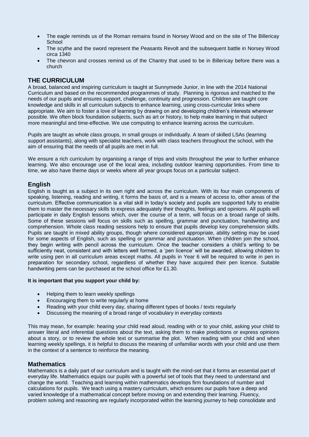- The eagle reminds us of the Roman remains found in Norsey Wood and on the site of The Billericay **School**
- The scythe and the sword represent the Peasants Revolt and the subsequent battle in Norsey Wood circa 1340
- The chevron and crosses remind us of the Chantry that used to be in Billericay before there was a church

# **THE CURRICULUM**

A broad, balanced and inspiring curriculum is taught at Sunnymede Junior, in line with the 2014 National Curriculum and based on the recommended programmes of study. Planning is rigorous and matched to the needs of our pupils and ensures support, challenge, continuity and progression. Children are taught core knowledge and skills in all curriculum subjects to enhance learning, using cross-curricular links where appropriate. We aim to foster a love of learning by drawing on and developing children's interests wherever possible. We often block foundation subjects, such as art or history, to help make learning in that subject more meaningful and time-effective. We use computing to enhance learning across the curriculum.

Pupils are taught as whole class groups, in small groups or individually. A team of skilled LSAs (learning support assistants), along with specialist teachers, work with class teachers throughout the school, with the aim of ensuring that the needs of all pupils are met in full.

We ensure a rich curriculum by organising a range of trips and visits throughout the year to further enhance learning. We also encourage use of the local area, including outdoor learning opportunities. From time to time, we also have theme days or weeks where all year groups focus on a particular subject.

# **English**

English is taught as a subject in its own right and across the curriculum. With its four main components of speaking, listening, reading and writing, it forms the basis of, and is a means of access to, other areas of the curriculum. Effective communication is a vital skill in today's society and pupils are supported fully to enable them to master the necessary skills to express adequately their thoughts, feelings and opinions. All pupils will participate in daily English lessons which, over the course of a term, will focus on a broad range of skills. Some of these sessions will focus on skills such as spelling, grammar and punctuation, handwriting and comprehension. Whole class reading sessions help to ensure that pupils develop key comprehension skills. Pupils are taught in mixed ability groups, though where considered appropriate, ability setting may be used for some aspects of English, such as spelling or grammar and punctuation. When children join the school, they begin writing with pencil across the curriculum. Once the teacher considers a child's writing to be sufficiently neat, consistent and with letters well formed, a 'pen licence' will be awarded, allowing children to write using pen in all curriculum areas except maths. All pupils in Year 6 will be required to write in pen in preparation for secondary school, regardless of whether they have acquired their pen licence. Suitable handwriting pens can be purchased at the school office for £1.30.

#### **It is important that you support your child by:**

- Helping them to learn weekly spellings
- Encouraging them to write regularly at home
- Reading with your child every day, sharing different types of books / texts regularly
- Discussing the meaning of a broad range of vocabulary in everyday contexts

This may mean, for example: hearing your child read aloud, reading with or to your child, asking your child to answer literal and inferential questions about the text, asking them to make predictions or express opinions about a story, or to review the whole text or summarise the plot. When reading with your child and when learning weekly spellings, it is helpful to discuss the meaning of unfamiliar words with your child and use them in the context of a sentence to reinforce the meaning.

## **Mathematics**

Mathematics is a daily part of our curriculum and is taught with the mind-set that it forms an essential part of everyday life. Mathematics equips our pupils with a powerful set of tools that they need to understand and change the world. Teaching and learning within mathematics develops firm foundations of number and calculations for pupils. We teach using a mastery curriculum, which ensures our pupils have a deep and varied knowledge of a mathematical concept before moving on and extending their learning. Fluency, problem solving and reasoning are regularly incorporated within the learning journey to help consolidate and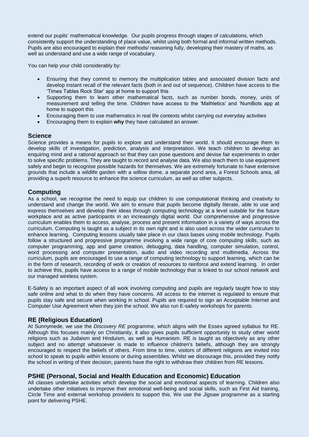extend our pupils' mathematical knowledge. Our pupils progress through stages of calculations, which consistently support the understanding of place value, whilst using both formal and informal written methods. Pupils are also encouraged to explain their methods/ reasoning fully, developing their mastery of maths, as well as understand and use a wide range of vocabulary.

You can help your child considerably by:

- Ensuring that they commit to memory the multiplication tables and associated division facts and develop instant recall of the relevant facts (both in and out of sequence). Children have access to the 'Times Tables Rock Star' app at home to support this
- Supporting them to learn other mathematical facts, such as number bonds, money, units of measurement and telling the time. Children have access to the 'Mathletics' and 'NumBots app at home to support this
- Encouraging them to use mathematics in real life contexts whilst carrying out everyday activities
- Encouraging them to explain **why** they have calculated an answer.

#### **Science**

Science provides a means for pupils to explore and understand their world. It should encourage them to develop skills of investigation, prediction, analysis and interpretation. We teach children to develop an enquiring mind and a rational approach so that they can pose questions and devise fair experiments in order to solve specific problems. They are taught to record and analyse data. We also teach them to use equipment safely and begin to recognise possible hazards for themselves. We are extremely fortunate to have extensive grounds that include a wildlife garden with a willow dome, a separate pond area, a Forest Schools area, all providing a superb resource to enhance the science curriculum, as well as other subjects.

#### **Computing**

As a school, we recognise the need to equip our children to use computational thinking and creativity to understand and change the world. We aim to ensure that pupils become digitally literate, able to use and express themselves and develop their ideas through computing technology at a level suitable for the future workplace and as active participants in an increasingly digital world. Our comprehensive and progressive curriculum enables them to access, analyse, process and present information in a variety of ways across the curriculum. Computing is taught as a subject in its own right and is also used across the wider curriculum to enhance learning. Computing lessons usually take place in our class bases using mobile technology. Pupils follow a structured and progressive programme involving a wide range of core computing skills, such as computer programming, app and game creation, debugging, data handling, computer simulation, control, word processing and computer presentation, audio and video recording and multimedia. Across the curriculum, pupils are encouraged to use a range of computing technology to support learning, which can be in the form of research, recording of work or creation of resources to reinforce and extend learning. In order to achieve this, pupils have access to a range of mobile technology that is linked to our school network and our managed wireless system.

E-Safety is an important aspect of all work involving computing and pupils are regularly taught how to stay safe online and what to do when they have concerns. All access to the internet is regulated to ensure that pupils stay safe and secure when working in school. Pupils are required to sign an Acceptable Internet and Computer Use Agreement when they join the school. We also run E-safety workshops for parents.

## **RE (Religious Education)**

At Sunnymede, we use the *Discovery RE* programme, which aligns with the Essex agreed syllabus for RE. Although this focuses mainly on Christianity, it also gives pupils sufficient opportunity to study other world religions such as Judaism and Hinduism, as well as Humanism. RE is taught as objectively as any other subject and no attempt whatsoever is made to influence children's beliefs, although they are strongly encouraged to respect the beliefs of others. From time to time, visitors of different religions are invited into school to speak to pupils within lessons or during assemblies. Whilst we discourage this, provided they notify the school in writing of their decision, parents have the right to withdraw their children from RE lessons.

## **PSHE (Personal, Social and Health Education and Economic) Education**

All classes undertake activities which develop the social and emotional aspects of learning. Children also undertake other initiatives to improve their emotional well-being and social skills, such as First Aid training, Circle Time and external workshop providers to support this. We use the *Jigsaw* programme as a starting point for delivering PSHE.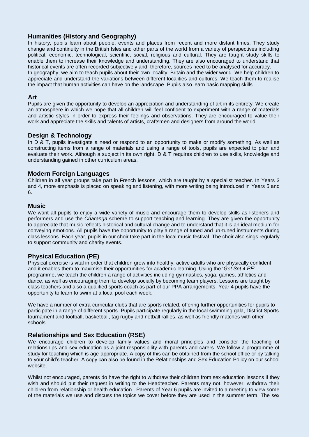# **Humanities (History and Geography)**

In history, pupils learn about people, events and places from recent and more distant times. They study change and continuity in the British Isles and other parts of the world from a variety of perspectives including political, economic, technological, scientific, social, religious and cultural. They are taught study skills to enable them to increase their knowledge and understanding. They are also encouraged to understand that historical events are often recorded subjectively and, therefore, sources need to be analysed for accuracy. In geography, we aim to teach pupils about their own locality, Britain and the wider world. We help children to appreciate and understand the variations between different localities and cultures. We teach them to realise the impact that human activities can have on the landscape. Pupils also learn basic mapping skills.

#### **Art**

Pupils are given the opportunity to develop an appreciation and understanding of art in its entirety. We create an atmosphere in which we hope that all children will feel confident to experiment with a range of materials and artistic styles in order to express their feelings and observations. They are encouraged to value their work and appreciate the skills and talents of artists, craftsmen and designers from around the world.

## **Design & Technology**

In D & T, pupils investigate a need or respond to an opportunity to make or modify something. As well as constructing items from a range of materials and using a range of tools, pupils are expected to plan and evaluate their work. Although a subject in its own right, D & T requires children to use skills, knowledge and understanding gained in other curriculum areas.

## **Modern Foreign Languages**

Children in all year groups take part in French lessons, which are taught by a specialist teacher. In Years 3 and 4, more emphasis is placed on speaking and listening, with more writing being introduced in Years 5 and 6.

#### **Music**

We want all pupils to enjoy a wide variety of music and encourage them to develop skills as listeners and performers and use the *Charanga* scheme to support teaching and learning. They are given the opportunity to appreciate that music reflects historical and cultural change and to understand that it is an ideal medium for conveying emotions. All pupils have the opportunity to play a range of tuned and un-tuned instruments during class lessons. Each year, pupils in our choir take part in the local music festival. The choir also sings regularly to support community and charity events.

## **Physical Education (PE)**

Physical exercise is vital in order that children grow into healthy, active adults who are physically confident and it enables them to maximise their opportunities for academic learning. Using the '*Get Set 4 PE'* programme, we teach the children a range of activities including gymnastics, yoga, games, athletics and dance, as well as encouraging them to develop socially by becoming team players. Lessons are taught by class teachers and also a qualified sports coach as part of our PPA arrangements. Year 4 pupils have the opportunity to learn to swim at a local pool each week.

We have a number of extra-curricular clubs that are sports related, offering further opportunities for pupils to participate in a range of different sports. Pupils participate regularly in the local swimming gala, District Sports tournament and football, basketball, tag rugby and netball rallies, as well as friendly matches with other schools.

## **Relationships and Sex Education (RSE)**

We encourage children to develop family values and moral principles and consider the teaching of relationships and sex education as a joint responsibility with parents and carers. We follow a programme of study for teaching which is age-appropriate. A copy of this can be obtained from the school office or by talking to your child's teacher. A copy can also be found in the Relationships and Sex Education Policy on our school website.

Whilst not encouraged, parents do have the right to withdraw their children from sex education lessons if they wish and should put their request in writing to the Headteacher. Parents may not, however, withdraw their children from relationship or health education. Parents of Year 6 pupils are invited to a meeting to view some of the materials we use and discuss the topics we cover before they are used in the summer term. The sex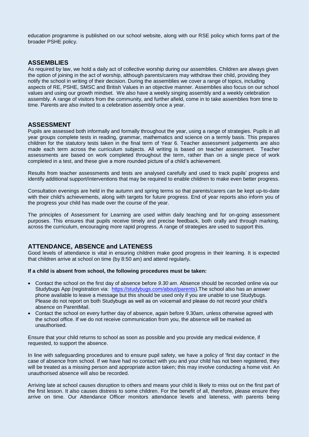education programme is published on our school website, along with our RSE policy which forms part of the broader PSHE policy.

## **ASSEMBLIES**

As required by law, we hold a daily act of collective worship during our assemblies. Children are always given the option of joining in the act of worship, although parents/carers may withdraw their child, providing they notify the school in writing of their decision. During the assemblies we cover a range of topics, including aspects of RE, PSHE, SMSC and British Values in an objective manner. Assemblies also focus on our school values and using our growth mindset. We also have a weekly singing assembly and a weekly celebration assembly. A range of visitors from the community, and further afield, come in to take assemblies from time to time. Parents are also invited to a celebration assembly once a year.

#### **ASSESSMENT**

Pupils are assessed both informally and formally throughout the year, using a range of strategies. Pupils in all year groups complete tests in reading, grammar, mathematics and science on a termly basis. This prepares children for the statutory tests taken in the final term of Year 6. Teacher assessment judgements are also made each term across the curriculum subjects. All writing is based on teacher assessment. Teacher assessments are based on work completed throughout the term, rather than on a single piece of work completed in a test, and these give a more rounded picture of a child's achievement.

Results from teacher assessments and tests are analysed carefully and used to track pupils' progress and identify additional support/interventions that may be required to enable children to make even better progress.

Consultation evenings are held in the autumn and spring terms so that parents/carers can be kept up-to-date with their child's achievements, along with targets for future progress. End of year reports also inform you of the progress your child has made over the course of the year.

The principles of Assessment for Learning are used within daily teaching and for on-going assessment purposes. This ensures that pupils receive timely and precise feedback, both orally and through marking, across the curriculum, encouraging more rapid progress. A range of strategies are used to support this.

#### **ATTENDANCE, ABSENCE and LATENESS**

Good levels of attendance is vital in ensuring children make good progress in their learning. It is expected that children arrive at school on time (by 8:50 am) and attend regularly**.** 

**If a child is absent from school, the following procedures must be taken:**

- Contact the school on the first day of absence before *9.30 am*. Absence should be recorded online via our Studybugs App (registration via: [https://studybugs.com/about/parents\)](https://studybugs.com/about/parents).The school also has an answer phone available to leave a message but this should be used only if you are unable to use Studybugs. Please do not report on both Studybugs as well as on voicemail and please do not record your child's absence on ParentMail.
- Contact the school on every further day of absence, again before 9.30am, unless otherwise agreed with the school office. If we do not receive communication from you, the absence will be marked as unauthorised.

Ensure that your child returns to school as soon as possible and you provide any medical evidence, if requested, to support the absence.

In line with safeguarding procedures and to ensure pupil safety, we have a policy of 'first day contact' in the case of absence from school. If we have had no contact with you and your child has not been registered, they will be treated as a missing person and appropriate action taken; this may involve conducting a home visit. An unauthorised absence will also be recorded.

Arriving late at school causes disruption to others and means your child is likely to miss out on the first part of the first lesson. It also causes distress to some children. For the benefit of all, therefore, please ensure they arrive on time. Our Attendance Officer monitors attendance levels and lateness, with parents being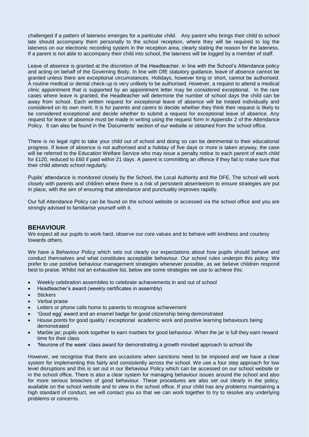challenged if a pattern of lateness emerges for a particular child. Any parent who brings their child to school late should accompany them personally to the school reception, where they will be required to log the lateness on our electronic recording system in the reception area, clearly stating the reason for the lateness. If a parent is not able to accompany their child into school, the lateness will be logged by a member of staff.

Leave of absence is granted at the discretion of the Headteacher, in line with the School's Attendance policy and acting on behalf of the Governing Body. In line with DfE statutory guidance, leave of absence cannot be granted unless there are exceptional circumstances. Holidays, however long or short, cannot be authorised. A routine medical or dental check-up is very unlikely to be authorised. However, a request to attend a medical clinic appointment that is supported by an appointment letter may be considered exceptional. In the rare cases where leave is granted, the Headteacher will determine the number of school days the child can be away from school. Each written request for exceptional leave of absence will be treated individually and considered on its own merit. It is for parents and carers to decide whether they think their request is likely to be considered exceptional and decide whether to submit a request for exceptional leave of absence. Any request for leave of absence must be made in writing using the request form in Appendix 2 of the Attendance Policy. It can also be found in the 'Documents' section of our website or obtained from the school office.

There is no legal right to take your child out of school and doing so can be detrimental to their educational progress. If leave of absence is not authorised and a holiday of five days or more is taken anyway, the case will be referred to the Education Welfare Service who may issue a penalty notice to each parent of each child for £120, reduced to £60 if paid within 21 days. A parent is committing an offence if they fail to make sure that their child attends school regularly.

Pupils' attendance is monitored closely by the School, the Local Authority and the DFE. The school will work closely with parents and children where there is a risk of persistent absenteeism to ensure strategies are put in place, with the aim of ensuring that attendance and punctuality improves rapidly.

Our full Attendance Policy can be found on the school website or accessed via the school office and you are strongly advised to familiarise yourself with it.

#### **BEHAVIOUR**

We expect all our pupils to work hard, observe our core values and to behave with kindness and courtesy towards others.

We have a Behaviour Policy which sets out clearly our expectations about how pupils should behave and conduct themselves and what constitutes acceptable behaviour. Our school rules underpin this policy. We prefer to use positive behaviour management strategies whenever possible, as we believe children respond best to praise. Whilst not an exhaustive list, below are some strategies we use to achieve this:

- Weekly celebration assemblies to celebrate achievements in and out of school
- Headteacher's award (weekly certificates in assembly)
- **Stickers**
- Verbal praise
- Letters or phone calls home to parents to recognise achievement
- 'Good egg' award and an enamel badge for good citizenship being demonstrated
- House points for good quality / exceptional academic work and positive learning behaviours being demonstrated
- Marble jar; pupils work together to earn marbles for good behaviour. When the jar is full they earn reward time for their class
- 'Neurone of the week' class award for demonstrating a growth mindset approach to school life

However, we recognise that there are occasions when sanctions need to be imposed and we have a clear system for implementing this fairly and consistently across the school. We use a four step approach for low level disruptions and this is set out in our Behaviour Policy which can be accessed on our school website or in the school office. There is also a clear system for managing behaviour issues around the school and also for more serious breaches of good behaviour. These procedures are also set out clearly in the policy, available on the school website and to view in the school office. If your child has any problems maintaining a high standard of conduct, we will contact you so that we can work together to try to resolve any underlying problems or concerns.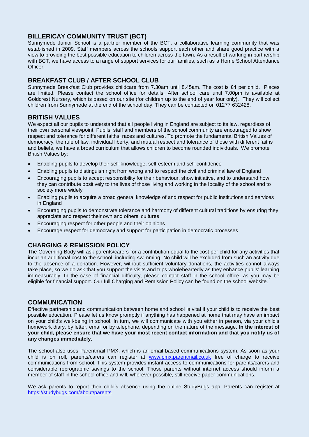# **BILLERICAY COMMUNITY TRUST (BCT)**

Sunnymede Junior School is a partner member of the BCT, a collaborative learning community that was established in 2009. Staff members across the schools support each other and share good practice with a view to providing the best possible education to children across the town. As a result of working in partnership with BCT, we have access to a range of support services for our families, such as a Home School Attendance Officer.

# **BREAKFAST CLUB / AFTER SCHOOL CLUB**

Sunnymede Breakfast Club provides childcare from 7.30am until 8.45am. The cost is £4 per child. Places are limited. Please contact the school office for details. After school care until 7.00pm is available at Goldcrest Nursery, which is based on our site (for children up to the end of year four only). They will collect children from Sunnymede at the end of the school day. They can be contacted on 01277 632428.

# **BRITISH VALUES**

We expect all our pupils to understand that all people living in England are subject to its law, regardless of their own personal viewpoint. Pupils, staff and members of the school community are encouraged to show respect and tolerance for different faiths, races and cultures. To promote the fundamental British Values of democracy, the rule of law, individual liberty, and mutual respect and tolerance of those with different faiths and beliefs, we have a broad curriculum that allows children to become rounded individuals. We promote British Values by:

- Enabling pupils to develop their self-knowledge, self-esteem and self-confidence
- Enabling pupils to distinguish right from wrong and to respect the civil and criminal law of England
- Encouraging pupils to accept responsibility for their behaviour, show initiative, and to understand how they can contribute positively to the lives of those living and working in the locality of the school and to society more widely
- Enabling pupils to acquire a broad general knowledge of and respect for public institutions and services in England
- Encouraging pupils to demonstrate tolerance and harmony of different cultural traditions by ensuring they appreciate and respect their own and others' cultures
- Encouraging respect for other people and their opinions
- Encourage respect for democracy and support for participation in democratic processes

# **CHARGING & REMISSION POLICY**

The Governing Body will ask parents/carers for a contribution equal to the cost per child for any activities that incur an additional cost to the school, including swimming. No child will be excluded from such an activity due to the absence of a donation. However, without sufficient voluntary donations, the activities cannot always take place, so we do ask that you support the visits and trips wholeheartedly as they enhance pupils' learning immeasurably. In the case of financial difficulty, please contact staff in the school office, as you may be eligible for financial support. Our full Charging and Remission Policy can be found on the school website.

# **COMMUNICATION**

Effective partnership and communication between home and school is vital if your child is to receive the best possible education. Please let us know promptly if anything has happened at home that may have an impact on your child's well-being in school. In turn, we will communicate with you either in person, via your child's homework diary, by letter, email or by telephone, depending on the nature of the message. **In the interest of your child, please ensure that we have your most recent contact information and that you notify us of any changes immediately.**

The school also uses Parentmail PMX, which is an email based communications system. As soon as your child is on roll, parents/carers can register at [www.pmx.parentmail.co.uk](http://www.pmx.parentmail.co.uk/) free of charge to receive communications from school. This system provides instant access to communications for parents/carers and considerable reprographic savings to the school. Those parents without internet access should inform a member of staff in the school office and will, wherever possible, still receive paper communications.

We ask parents to report their child's absence using the online StudyBugs app. Parents can register at <https://studybugs.com/about/parents>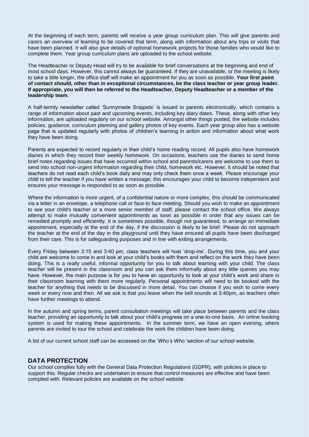At the beginning of each term, parents will receive a year group curriculum plan. This will give parents and carers an overview of learning to be covered that term, along with information about any trips or visits that have been planned. It will also give details of optional homework projects for those families who would like to complete them. Year group curriculum plans are uploaded to the school website.

The Headteacher or Deputy Head will try to be available for brief conversations at the beginning and end of most school days. However, this cannot always be guaranteed. If they are unavailable, or the meeting is likely to take a little longer, the office staff will make an appointment for you as soon as possible. **Your first point of contact should, other than in exceptional circumstances, be the class teacher or year group leader. If appropriate, you will then be referred to the Headteacher, Deputy Headteacher or a member of the leadership team.**

A half-termly newsletter called 'Sunnymede Snippets' is issued to parents electronically, which contains a range of information about past and upcoming events, including key diary dates. These, along with other key information, are uploaded regularly on our school website. Amongst other things posted, the website includes policies, guidance, curriculum planning and gallery photos of key events. Each year group also has a website page that is updated regularly with photos of children's learning in action and information about what work they have been doing.

Parents are expected to record regularly in their child's home reading record. All pupils also have homework diaries in which they record their weekly homework. On occasions, teachers use the diaries to send home brief notes regarding issues that have occurred within school and parents/carers are welcome to use them to send into school non-urgent information regarding their child, homework etc. However, it should be noted that teachers do not read each child's book daily and may only check them once a week. Please encourage your child to tell the teacher if you have written a message; this encourages your child to become independent and ensures your message is responded to as soon as possible.

Where the information is more urgent, of a confidential nature or more complex, this should be communicated via a letter in an envelope, a telephone call or face-to face meeting. Should you wish to make an appointment to see your child's teacher or a more senior member of staff, please contact the school office. We always attempt to make mutually convenient appointments as soon as possible in order that any issues can be remedied promptly and efficiently. It is sometimes possible, though not guaranteed, to arrange an immediate appointment, especially at the end of the day, if the discussion is likely to be brief. Please do not approach the teacher at the end of the day in the playground until they have ensured all pupils have been discharged from their care. This is for safeguarding purposes and in line with exiting arrangements.

Every Friday between 3:15 and 3:40 pm, class teachers will host 'drop-ins'. During this time, you and your child are welcome to come in and look at your child's books with them and reflect on the work they have been doing. This is a really useful, informal opportunity for you to talk about learning with your child. The class teacher will be present in the classroom and you can ask them informally about any little queries you may have. However, the main purpose is for you to have an opportunity to look at your child's work and share in their classroom learning with them more regularly. Personal appointments will need to be booked with the teacher for anything that needs to be discussed in more detail. You can choose if you wish to come every week or every now and then. All we ask is that you leave when the bell sounds at 3:40pm, as teachers often have further meetings to attend.

In the autumn and spring terms, parent consultation meetings will take place between parents and the class teacher, providing an opportunity to talk about your child's progress on a one-to-one basis. An online booking system is used for making these appointments. In the summer term, we have an open evening, where parents are invited to tour the school and celebrate the work the children have been doing.

A list of our current school staff can be accessed on the '*Who's Who* 'section of our school website.

#### **DATA PROTECTION**

Our school complies fully with the General Data Protection Regulations (GDPR), with policies in place to support this. Regular checks are undertaken to ensure that control measures are effective and have been complied with. Relevant policies are available on the school website.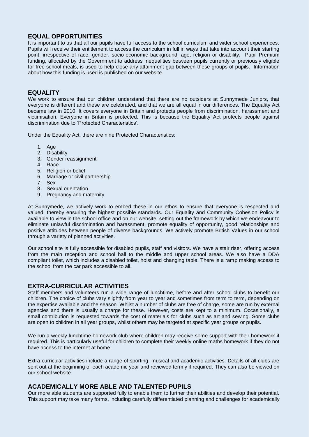# **EQUAL OPPORTUNITIES**

It is important to us that all our pupils have full access to the school curriculum and wider school experiences. Pupils will receive their entitlement to access the curriculum in full in ways that take into account their starting point, irrespective of race, gender, socio-economic background, age, religion or disability. Pupil Premium funding, allocated by the Government to address inequalities between pupils currently or previously eligible for free school meals, is used to help close any attainment gap between these groups of pupils. Information about how this funding is used is published on our website.

#### **EQUALITY**

We work to ensure that our children understand that there are no outsiders at Sunnymede Juniors, that everyone is different and these are celebrated, and that we are all equal in our differences. The Equality Act became law in 2010. It covers everyone in Britain and protects people from discrimination, harassment and victimisation. Everyone in Britain is protected. This is because the Equality Act protects people against discrimination due to 'Protected Characteristics'.

Under the Equality Act, there are nine Protected Characteristics:

- 1. Age
- 2. Disability
- 3. Gender reassignment
- 4. Race
- 5. Religion or belief
- 6. Marriage or civil partnership
- 7. Sex
- 8. Sexual orientation
- 9. Pregnancy and maternity

At Sunnymede, we actively work to embed these in our ethos to ensure that everyone is respected and valued, thereby ensuring the highest possible standards. Our Equality and Community Cohesion Policy is available to view in the school office and on our website, setting out the framework by which we endeavour to eliminate unlawful discrimination and harassment, promote equality of opportunity, good relationships and positive attitudes between people of diverse backgrounds. We actively promote British Values in our school through a variety of planned activities.

Our school site is fully accessible for disabled pupils, staff and visitors. We have a stair riser, offering access from the main reception and school hall to the middle and upper school areas. We also have a DDA compliant toilet, which includes a disabled toilet, hoist and changing table. There is a ramp making access to the school from the car park accessible to all.

## **EXTRA-CURRICULAR ACTIVITIES**

Staff members and volunteers run a wide range of lunchtime, before and after school clubs to benefit our children. The choice of clubs vary slightly from year to year and sometimes from term to term, depending on the expertise available and the season. Whilst a number of clubs are free of charge, some are run by external agencies and there is usually a charge for these. However, costs are kept to a minimum. Occasionally, a small contribution is requested towards the cost of materials for clubs such as art and sewing. Some clubs are open to children in all year groups, whilst others may be targeted at specific year groups or pupils.

We run a weekly lunchtime homework club where children may receive some support with their homework if required. This is particularly useful for children to complete their weekly online maths homework if they do not have access to the internet at home.

Extra-curricular activities include a range of sporting, musical and academic activities. Details of all clubs are sent out at the beginning of each academic year and reviewed termly if required. They can also be viewed on our school website.

## **ACADEMICALLY MORE ABLE AND TALENTED PUPILS**

Our more able students are supported fully to enable them to further their abilities and develop their potential. This support may take many forms, including carefully differentiated planning and challenges for academically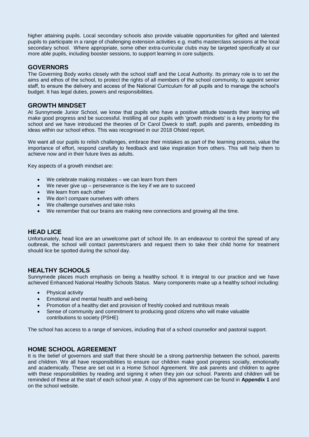higher attaining pupils. Local secondary schools also provide valuable opportunities for gifted and talented pupils to participate in a range of challenging extension activities e.g. maths masterclass sessions at the local secondary school. Where appropriate, some other extra-curricular clubs may be targeted specifically at our more able pupils, including booster sessions, to support learning in core subjects.

# **GOVERNORS**

The Governing Body works closely with the school staff and the Local Authority. Its primary role is to set the aims and ethos of the school, to protect the rights of all members of the school community, to appoint senior staff, to ensure the delivery and access of the National Curriculum for all pupils and to manage the school's budget. It has legal duties, powers and responsibilities.

#### **GROWTH MINDSET**

At Sunnymede Junior School, we know that pupils who have a positive attitude towards their learning will make good progress and be successful. Instilling all our pupils with 'growth mindsets' is a key priority for the school and we have introduced the theories of Dr Carol Dweck to staff, pupils and parents, embedding its ideas within our school ethos. This was recognised in our 2018 Ofsted report.

We want all our pupils to relish challenges, embrace their mistakes as part of the learning process, value the importance of effort, respond carefully to feedback and take inspiration from others. This will help them to achieve now and in their future lives as adults.

Key aspects of a growth mindset are:

- We celebrate making mistakes we can learn from them
- We never give up perseverance is the key if we are to succeed
- We learn from each other
- We don't compare ourselves with others
- We challenge ourselves and take risks
- We remember that our brains are making new connections and growing all the time.

## **HEAD LICE**

Unfortunately, head lice are an unwelcome part of school life. In an endeavour to control the spread of any outbreak, the school will contact parents/carers and request them to take their child home for treatment should lice be spotted during the school day.

# **HEALTHY SCHOOLS**

Sunnymede places much emphasis on being a healthy school. It is integral to our practice and we have achieved Enhanced National Healthy Schools Status. Many components make up a healthy school including:

- Physical activity
- Emotional and mental health and well-being
- Promotion of a healthy diet and provision of freshly cooked and nutritious meals
- Sense of community and commitment to producing good citizens who will make valuable contributions to society (PSHE)

The school has access to a range of services, including that of a school counsellor and pastoral support.

## **HOME SCHOOL AGREEMENT**

It is the belief of governors and staff that there should be a strong partnership between the school, parents and children. We all have responsibilities to ensure our children make good progress socially, emotionally and academically. These are set out in a Home School Agreement. We ask parents and children to agree with these responsibilities by reading and signing it when they join our school. Parents and children will be reminded of these at the start of each school year. A copy of this agreement can be found in **Appendix 1** and on the school website.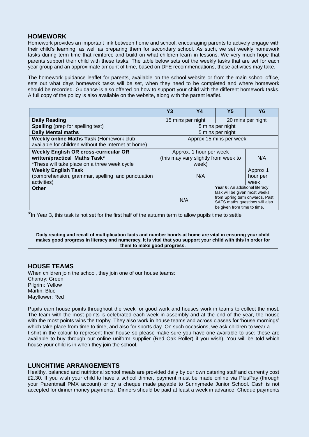# **HOMEWORK**

Homework provides an important link between home and school, encouraging parents to actively engage with their child's learning, as well as preparing them for secondary school. As such, we set weekly homework tasks during term time that reinforce and build on what children learn in lessons. We very much hope that parents support their child with these tasks. The table below sets out the weekly tasks that are set for each year group and an approximate amount of time, based on DFE recommendations, these activities may take.

The homework guidance leaflet for parents, available on the school website or from the main school office, sets out what days homework tasks will be set, when they need to be completed and where homework should be recorded. Guidance is also offered on how to support your child with the different homework tasks. A full copy of the policy is also available on the website, along with the parent leaflet.

|                                                                                                                               | Y3                                     | Y4                                                                       | Y <sub>5</sub>                                                                                                                                                     | Y <sub>6</sub> |
|-------------------------------------------------------------------------------------------------------------------------------|----------------------------------------|--------------------------------------------------------------------------|--------------------------------------------------------------------------------------------------------------------------------------------------------------------|----------------|
| <b>Daily Reading</b>                                                                                                          | 20 mins per night<br>15 mins per night |                                                                          |                                                                                                                                                                    |                |
| <b>Spelling</b> (prep for spelling test)                                                                                      | 5 mins per night                       |                                                                          |                                                                                                                                                                    |                |
| <b>Daily Mental maths</b>                                                                                                     | 5 mins per night                       |                                                                          |                                                                                                                                                                    |                |
| Weekly online Maths Task (Homework club<br>available for children without the Internet at home)                               | Approx 15 mins per week                |                                                                          |                                                                                                                                                                    |                |
| <b>Weekly English OR cross-curricular OR</b><br>written/practical Maths Task*<br>*These will take place on a three week cycle |                                        | Approx. 1 hour per week<br>(this may vary slightly from week to<br>week) |                                                                                                                                                                    | N/A            |
| <b>Weekly English Task</b><br>(comprehension, grammar, spelling and punctuation<br>activities)                                | Approx 1<br>N/A<br>hour per<br>week    |                                                                          |                                                                                                                                                                    |                |
| <b>Other</b>                                                                                                                  |                                        | N/A                                                                      | Year 6: An additional literacy<br>task will be given most weeks<br>from Spring term onwards. Past<br>SATS maths questions will also<br>be given from time to time. |                |

\*In Year 3, this task is not set for the first half of the autumn term to allow pupils time to settle

**Daily reading and recall of multiplication facts and number bonds at home are vital in ensuring your child makes good progress in literacy and numeracy. It is vital that you support your child with this in order for them to make good progress.**

## **HOUSE TEAMS**

When children join the school, they join one of our house teams: Chantry: Green Pilgrim: Yellow Martin: Blue Mayflower: Red

Pupils earn house points throughout the week for good work and houses work in teams to collect the most. The team with the most points is celebrated each week in assembly and at the end of the year, the house with the most points wins the trophy. They also work in house teams and across classes for 'house mornings' which take place from time to time, and also for sports day. On such occasions, we ask children to wear a t-shirt in the colour to represent their house so please make sure you have one available to use; these are available to buy through our online uniform supplier (Red Oak Roller) if you wish). You will be told which house your child is in when they join the school.

## **LUNCHTIME ARRANGEMENTS**

Healthy, balanced and nutritional school meals are provided daily by our own catering staff and currently cost £2.30. If you wish your child to have a school dinner, payment must be made online via PlusPay (through your Parentmail PMX account) or by a cheque made payable to Sunnymede Junior School. Cash is not accepted for dinner money payments. Dinners should be paid at least a week in advance. Cheque payments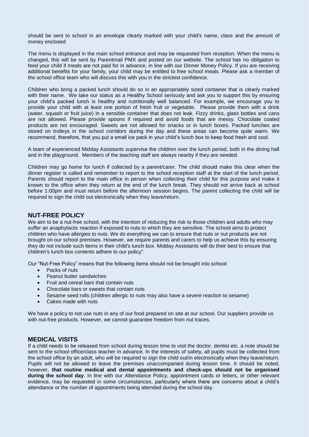should be sent to school in an envelope clearly marked with your child's name, class and the amount of money enclosed

The menu is displayed in the main school entrance and may be requested from reception. When the menu is changed, this will be sent by Parentmail PMX and posted on our website. The school has no obligation to feed your child if meals are not paid for in advance, in line with our Dinner Money Policy. If you are receiving additional benefits for your family, your child may be entitled to free school meals. Please ask a member of the school office team who will discuss this with you in the strictest confidence.

Children who bring a packed lunch should do so in an appropriately sized container that is clearly marked with their name. We take our status as a Healthy School seriously and ask you to support this by ensuring your child's packed lunch is healthy and nutritionally well balanced. For example, we encourage you to provide your child with at least one portion of fresh fruit or vegetable. Please provide them with a drink (water, squash or fruit juice) in a sensible container that does not leak. Fizzy drinks, glass bottles and cans are not allowed. Please provide spoons if required and avoid foods that are messy. Chocolate coated products are not encouraged. Sweets are not allowed for snacks or in lunch boxes. Packed lunches are stored on trolleys in the school corridors during the day and these areas can become quite warm. We recommend, therefore, that you put a small ice pack in your child's lunch box to keep food fresh and cool.

A team of experienced Midday Assistants supervise the children over the lunch period, both in the dining hall and in the playground. Members of the teaching staff are always nearby if they are needed.

Children may go home for lunch if collected by a parent/carer. The child should make this clear when the dinner register is called and remember to report to the school reception staff at the start of the lunch period, Parents should report to the main office in person when collecting their child for this purpose and make it known to the office when they return at the end of the lunch break. They should not arrive back at school before 1:00pm and must return before the afternoon session begins. The parent collecting the child will be required to sign the child out electronically when they leave/return.

#### **NUT-FREE POLICY**

We aim to be a nut-free school, with the intention of reducing the risk to those children and adults who may suffer an anaphylactic reaction if exposed to nuts to which they are sensitive. The school aims to protect children who have allergies to nuts. We do everything we can to ensure that nuts or nut products are not brought on our school premises. However, we require parents and carers to help us achieve this by ensuring they do not include such items in their child's lunch box. Midday Assistants will do their best to ensure that children's lunch box contents adhere to our policy".

Our "Nut-Free Policy" means that the following items should not be brought into school:

- Packs of nuts
- Peanut butter sandwiches
- Fruit and cereal bars that contain nuts
- Chocolate bars or sweets that contain nuts
- Sesame seed rolls (children allergic to nuts may also have a severe reaction to sesame)
- Cakes made with nuts

We have a policy to not use nuts in any of our food prepared on site at our school. Our suppliers provide us with nut-free products. However, we cannot guarantee freedom from nut traces.

#### **MEDICAL VISITS**

If a child needs to be released from school during lesson time to visit the doctor, dentist etc. a note should be sent to the school office/class teacher in advance. In the interests of safety, all pupils must be collected from the school office by an adult, who will be required to sign the child out/in electronically when they leave/return. Pupils will not be allowed to leave the premises unaccompanied during lesson time. It should be noted, however, **that routine medical and dental appointments and check-ups should not be organised during the school day**. In line with our Attendance Policy, appointment cards or letters, or other relevant evidence, may be requested in some circumstances, particularly where there are concerns about a child's attendance or the number of appointments being attended during the school day.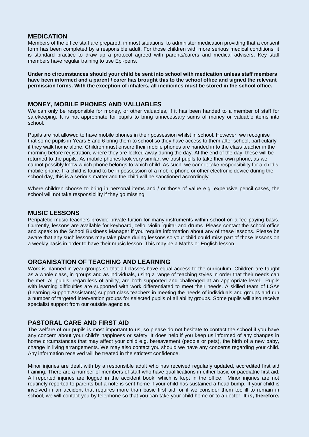#### **MEDICATION**

Members of the office staff are prepared, in most situations, to administer medication providing that a consent form has been completed by a responsible adult. For those children with more serious medical conditions, it is standard practice to draw up a protocol agreed with parents/carers and medical advisers. Key staff members have regular training to use Epi-pens.

**Under no circumstances should your child be sent into school with medication unless staff members have been informed and a parent / carer has brought this to the school office and signed the relevant permission forms. With the exception of inhalers, all medicines must be stored in the school office.**

#### **MONEY, MOBILE PHONES AND VALUABLES**

We can only be responsible for money, or other valuables, if it has been handed to a member of staff for safekeeping. It is not appropriate for pupils to bring unnecessary sums of money or valuable items into school.

Pupils are not allowed to have mobile phones in their possession whilst in school. However, we recognise that some pupils in Years 5 and 6 bring them to school so they have access to them after school, particularly if they walk home alone. Children must ensure their mobile phones are handed in to the class teacher in the morning before registration, where they are locked away during the day. At the end of the day, these will be returned to the pupils. As mobile phones look very similar, we trust pupils to take their own phone, as we cannot possibly know which phone belongs to which child. As such, we cannot take responsibility for a child's mobile phone. If a child is found to be in possession of a mobile phone or other electronic device during the school day, this is a serious matter and the child will be sanctioned accordingly.

Where children choose to bring in personal items and / or those of value e.g. expensive pencil cases, the school will not take responsibility if they go missing.

#### **MUSIC LESSONS**

Peripatetic music teachers provide private tuition for many instruments within school on a fee-paying basis. Currently, lessons are available for keyboard, cello, violin, guitar and drums. Please contact the school office and speak to the School Business Manager if you require information about any of these lessons. Please be aware that any such lessons may take place during lessons so your child could miss part of those lessons on a weekly basis in order to have their music lesson. This may be a Maths or English lesson.

## **ORGANISATION OF TEACHING AND LEARNING**

Work is planned in year groups so that all classes have equal access to the curriculum. Children are taught as a whole class, in groups and as individuals, using a range of teaching styles in order that their needs can be met. All pupils, regardless of ability, are both supported and challenged at an appropriate level. Pupils with learning difficulties are supported with work differentiated to meet their needs. A skilled team of LSAs (Learning Support Assistants) support class teachers in meeting the needs of individuals and groups and run a number of targeted intervention groups for selected pupils of all ability groups. Some pupils will also receive specialist support from our outside agencies.

#### **PASTORAL CARE AND FIRST AID**

The welfare of our pupils is most important to us, so please do not hesitate to contact the school if you have any concern about your child's happiness or safety. It does help if you keep us informed of any changes in home circumstances that may affect your child e.g. bereavement (people or pets), the birth of a new baby, change in living arrangements. We may also contact you should we have any concerns regarding your child. Any information received will be treated in the strictest confidence.

Minor injuries are dealt with by a responsible adult who has received regularly updated, accredited first aid training. There are a number of members of staff who have qualifications in either basic or paediatric first aid. All reported injuries are logged in the accident book, which is kept in the office. Minor injuries are not routinely reported to parents but a note is sent home if your child has sustained a head bump. If your child is involved in an accident that requires more than basic first aid, or if we consider them too ill to remain in school, we will contact you by telephone so that you can take your child home or to a doctor. **It is, therefore,**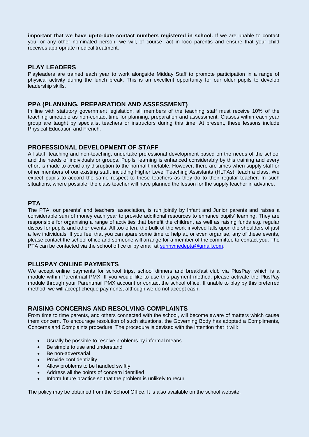**important that we have up-to-date contact numbers registered in school.** If we are unable to contact you, or any other nominated person, we will, of course, act in loco parentis and ensure that your child receives appropriate medical treatment.

#### **PLAY LEADERS**

Playleaders are trained each year to work alongside Midday Staff to promote participation in a range of physical activity during the lunch break. This is an excellent opportunity for our older pupils to develop leadership skills.

#### **PPA (PLANNING, PREPARATION AND ASSESSMENT)**

In line with statutory government legislation, all members of the teaching staff must receive 10% of the teaching timetable as non-contact time for planning, preparation and assessment. Classes within each year group are taught by specialist teachers or instructors during this time. At present, these lessons include Physical Education and French.

## **PROFESSIONAL DEVELOPMENT OF STAFF**

All staff, teaching and non-teaching, undertake professional development based on the needs of the school and the needs of individuals or groups. Pupils' learning is enhanced considerably by this training and every effort is made to avoid any disruption to the normal timetable. However, there are times when supply staff or other members of our existing staff, including Higher Level Teaching Assistants (HLTAs), teach a class. We expect pupils to accord the same respect to these teachers as they do to their regular teacher. In such situations, where possible, the class teacher will have planned the lesson for the supply teacher in advance.

## **PTA**

The PTA, our parents' and teachers' association, is run jointly by Infant and Junior parents and raises a considerable sum of money each year to provide additional resources to enhance pupils' learning. They are responsible for organising a range of activities that benefit the children, as well as raising funds e.g. regular discos for pupils and other events. All too often, the bulk of the work involved falls upon the shoulders of just a few individuals. If you feel that you can spare some time to help at, or even organise, any of these events, please contact the school office and someone will arrange for a member of the committee to contact you. The PTA can be contacted via the school office or by email at [sunnymedepta@gmail.com.](mailto:sunnymedepta@gmail.com)

## **PLUSPAY ONLINE PAYMENTS**

We accept online payments for school trips, school dinners and breakfast club via PlusPay, which is a module within Parentmail PMX. If you would like to use this payment method, please activate the PlusPay module through your Parentmail PMX account or contact the school office. If unable to play by this preferred method, we will accept cheque payments, although we do not accept cash.

#### **RAISING CONCERNS AND RESOLVING COMPLAINTS**

From time to time parents, and others connected with the school, will become aware of matters which cause them concern. To encourage resolution of such situations, the Governing Body has adopted a Compliments, Concerns and Complaints procedure. The procedure is devised with the intention that it will:

- Usually be possible to resolve problems by informal means
- Be simple to use and understand
- Be non-adversarial
- Provide confidentiality
- Allow problems to be handled swiftly
- Address all the points of concern identified
- Inform future practice so that the problem is unlikely to recur

The policy may be obtained from the School Office. It is also available on the school website.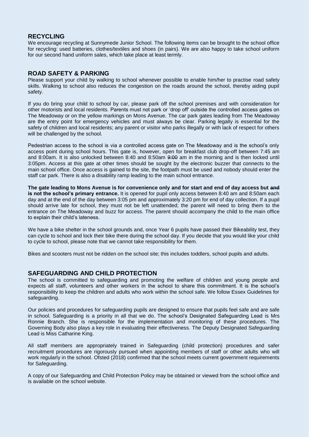# **RECYCLING**

We encourage recycling at Sunnymede Junior School. The following items can be brought to the school office for recycling: used batteries, clothes/textiles and shoes (in pairs). We are also happy to take school uniform for our second hand uniform sales, which take place at least termly.

#### **ROAD SAFETY & PARKING**

Please support your child by walking to school whenever possible to enable him/her to practise road safety skills. Walking to school also reduces the congestion on the roads around the school, thereby aiding pupil safety.

If you do bring your child to school by car, please park off the school premises and with consideration for other motorists and local residents. Parents must not park or 'drop off' outside the controlled access gates on The Meadoway or on the yellow markings on Mons Avenue. The car park gates leading from The Meadoway are the entry point for emergency vehicles and must always be clear. Parking legally is essential for the safety of children and local residents; any parent or visitor who parks illegally or with lack of respect for others will be challenged by the school.

Pedestrian access to the school is via a controlled access gate on The Meadoway and is the school's only access point during school hours. This gate is, however, open for breakfast club drop-off between 7:45 am and 8:00am. It is also unlocked between 8:40 and 8:50am 9:00 am in the morning and is then locked until 3:05pm. Access at this gate at other times should be sought by the electronic buzzer that connects to the main school office. Once access is gained to the site, the footpath must be used and nobody should enter the staff car park. There is also a disability ramp leading to the main school entrance.

**The gate leading to Mons Avenue is for convenience only and for start and end of day access but and is not the school's primary entrance.** It is opened for pupil only access between 8:40 am and 8:50am each day and at the end of the day between 3:05 pm and approximately 3:20 pm for end of day collection. If a pupil should arrive late for school, they must not be left unattended; the parent will need to bring them to the entrance on The Meadoway and buzz for access. The parent should accompany the child to the main office to explain their child's lateness.

We have a bike shelter in the school grounds and, once Year 6 pupils have passed their Bikeability test, they can cycle to school and lock their bike there during the school day. If you decide that you would like your child to cycle to school, please note that we cannot take responsibility for them.

Bikes and scooters must not be ridden on the school site; this includes toddlers, school pupils and adults.

#### **SAFEGUARDING AND CHILD PROTECTION**

The school is committed to safeguarding and promoting the welfare of children and young people and expects all staff, volunteers and other workers in the school to share this commitment. It is the school's responsibility to keep the children and adults who work within the school safe. We follow Essex Guidelines for safeguarding.

Our policies and procedures for safeguarding pupils are designed to ensure that pupils feel safe and are safe in school. Safeguarding is a priority in all that we do. The school's Designated Safeguarding Lead is Mrs Ronnie Branch. She is responsible for the implementation and monitoring of these procedures. The Governing Body also plays a key role in evaluating their effectiveness. The Deputy Designated Safeguarding Lead is Miss Catharine King.

All staff members are appropriately trained in Safeguarding (child protection) procedures and safer recruitment procedures are rigorously pursued when appointing members of staff or other adults who will work regularly in the school. Ofsted (2018) confirmed that the school meets current government requirements for Safeguarding.

A copy of our Safeguarding and Child Protection Policy may be obtained or viewed from the school office and is available on the school website.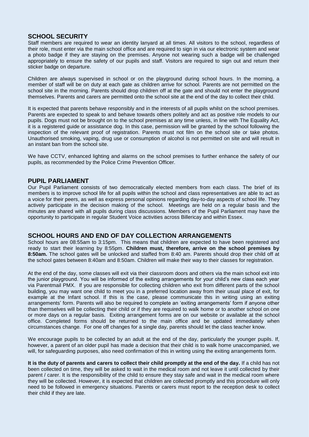# **SCHOOL SECURITY**

Staff members are required to wear an identity lanyard at all times. All visitors to the school, regardless of their role, must enter via the main school office and are required to sign in via our electronic system and wear a photo badge if they are staying on the premises. Anyone not wearing such a badge will be challenged appropriately to ensure the safety of our pupils and staff. Visitors are required to sign out and return their sticker badge on departure.

Children are always supervised in school or on the playground during school hours. In the morning, a member of staff will be on duty at each gate as children arrive for school. Parents are not permitted on the school site in the morning. Parents should drop children off at the gate and should not enter the playground themselves. Parents and carers are permitted onto the school site at the end of the day to collect their child.

It is expected that parents behave responsibly and in the interests of all pupils whilst on the school premises. Parents are expected to speak to and behave towards others politely and act as positive role models to our pupils. Dogs must not be brought on to the school premises at any time unless, in line with The Equality Act, it is a registered guide or assistance dog. In this case, permission will be granted by the school following the inspection of the relevant proof of registration. Parents must not film on the school site or take photos. Unauthorised smoking, vaping, drug use or consumption of alcohol is not permitted on site and will result in an instant ban from the school site.

We have CCTV, enhanced lighting and alarms on the school premises to further enhance the safety of our pupils, as recommended by the Police Crime Prevention Officer.

#### **PUPIL PARLIAMENT**

Our Pupil Parliament consists of two democratically elected members from each class. The brief of its members is to improve school life for all pupils within the school and class representatives are able to act as a voice for their peers, as well as express personal opinions regarding day-to-day aspects of school life. They actively participate in the decision making of the school. Meetings are held on a regular basis and the minutes are shared with all pupils during class discussions. Members of the Pupil Parliament may have the opportunity to participate in regular Student Voice activities across Billericay and within Essex.

## **SCHOOL HOURS AND END OF DAY COLLECTION ARRANGEMENTS**

School hours are 08:55am to 3:15pm. This means that children are expected to have been registered and ready to start their learning by 8:55pm. **Children must, therefore, arrive on the school premises by 8:50am.** The school gates will be unlocked and staffed from 8:40 am. Parents should drop their child off at the school gates between 8:40am and 8:50am. Children will make their way to their classes for registration.

At the end of the day, some classes will exit via their classroom doors and others via the main school exit into the junior playground. You will be informed of the exiting arrangements for your child's new class each year via Parentmail PMX. If you are responsible for collecting children who exit from different parts of the school building, you may want one child to meet you in a preferred location away from their usual place of exit, for example at the Infant school. If this is the case, please communicate this in writing using an exiting arrangements' form. Parents will also be required to complete an 'exiting arrangements' form if anyone other than themselves will be collecting their child or if they are required to walk home or to another school on one or more days on a regular basis. Exiting arrangement forms are on our website or available at the school office. Completed forms should be returned to the main office and be updated immediately when circumstances change. For one off changes for a single day, parents should let the class teacher know.

We encourage pupils to be collected by an adult at the end of the day, particularly the younger pupils. If, however, a parent of an older pupil has made a decision that their child is to walk home unaccompanied, we will, for safeguarding purposes, also need confirmation of this in writing using the exiting arrangements form.

**It is the duty of parents and carers to collect their child promptly at the end of the day.** If a child has not been collected on time, they will be asked to wait in the medical room and not leave it until collected by their parent / carer. It is the responsibility of the child to ensure they stay safe and wait in the medical room where they will be collected. However, it is expected that children are collected promptly and this procedure will only need to be followed in emergency situations. Parents or carers must report to the reception desk to collect their child if they are late.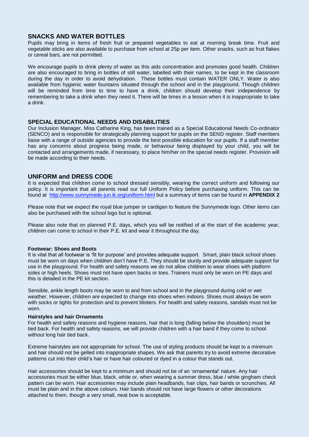# **SNACKS AND WATER BOTTLES**

Pupils may bring in items of fresh fruit or prepared vegetables to eat at morning break time. Fruit and vegetable sticks are also available to purchase from school at 25p per item. Other snacks, such as fruit flakes or cereal bars, are not permitted.

We encourage pupils to drink plenty of water as this aids concentration and promotes good health. Children are also encouraged to bring in bottles of still water, labelled with their names, to be kept in the classroom during the day in order to avoid dehydration. These bottles must contain WATER ONLY. Water is also available from hygienic water fountains situated through the school and in the playground. Though children will be reminded from time to time to have a drink, children should develop their independence by remembering to take a drink when they need it. There will be times in a lesson when it is inappropriate to take a drink.

#### **SPECIAL EDUCATIONAL NEEDS AND DISABILITIES**

Our Inclusion Manager, Miss Catharine King, has been trained as a Special Educational Needs Co-ordinator (SENCO) and is responsible for strategically planning support for pupils on the SEND register. Staff members liaise with a range of outside agencies to provide the best possible education for our pupils. If a staff member has any concerns about progress being made, or behaviour being displayed by your child, you will be contacted and arrangements made, if necessary, to place him/her on the special needs register. Provision will be made according to their needs.

## **UNIFORM and DRESS CODE**

It is expected that children come to school dressed sensibly, wearing the correct uniform and following our policy. It is important that all parents read our full Uniform Policy before purchasing uniform. This can be found at <http://www.sunnymede-jun.ik.org/uniform.html> but a summary of items can be found in **APPENDIX 2**

Please note that we expect the royal blue jumper or cardigan to feature the Sunnymede logo. Other items can also be purchased with the school logo but is optional.

Please also note that on planned P.E. days, which you will be notified of at the start of the academic year, children can come to school in their P.E. kit and wear it throughout the day.

#### **Footwear: Shoes and Boots**

It is vital that all footwear is 'fit for purpose' and provides adequate support. Smart, plain black school shoes must be worn on days when children don't have P.E. They should be sturdy and provide adequate support for use in the playground. For health and safety reasons we do not allow children to wear shoes with platform soles or high heels. Shoes must not have open backs or toes. Trainers must only be worn on PE days and this is detailed in the PE kit section.

Sensible, ankle length boots may be worn to and from school and in the playground during cold or wet weather. However, children are expected to change into shoes when indoors. Shoes must always be worn with socks or tights for protection and to prevent blisters. For health and safety reasons, sandals must not be worn.

#### **Hairstyles and hair Ornaments**

For health and safety reasons and hygiene reasons, hair that is long (falling below the shoulders) must be tied back. For health and safety reasons, we will provide children with a hair band if they come to school without long hair tied back.

Extreme hairstyles are not appropriate for school. The use of styling products should be kept to a minimum and hair should not be gelled into inappropriate shapes. We ask that parents try to avoid extreme decorative patterns cut into their child's hair or have hair coloured or dyed in a colour that stands out.

Hair accessories should be kept to a minimum and should not be of an 'ornamental' nature. Any hair accessories must be either blue, black, white or, when wearing a summer dress, blue / white gingham check pattern can be worn. Hair accessories may include plain headbands, hair clips, hair bands or scrunchies. All must be plain and in the above colours. Hair bands should not have large flowers or other decorations attached to them, though a very small, neat bow is acceptable.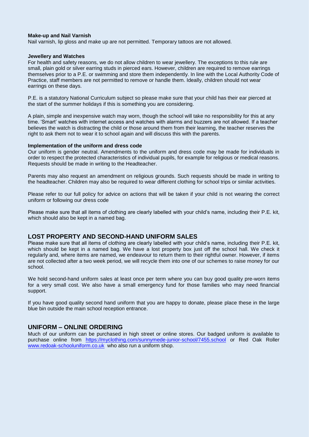#### **Make-up and Nail Varnish**

Nail varnish, lip gloss and make up are not permitted. Temporary tattoos are not allowed.

#### **Jewellery and Watches**

For health and safety reasons, we do not allow children to wear jewellery. The exceptions to this rule are small, plain gold or silver earring studs in pierced ears. However, children are required to remove earrings themselves prior to a P.E. or swimming and store them independently. In line with the Local Authority Code of Practice, staff members are not permitted to remove or handle them. Ideally, children should not wear earrings on these days.

P.E. is a statutory National Curriculum subject so please make sure that your child has their ear pierced at the start of the summer holidays if this is something you are considering.

A plain, simple and inexpensive watch may worn, though the school will take no responsibility for this at any time. 'Smart' watches with internet access and watches with alarms and buzzers are not allowed. If a teacher believes the watch is distracting the child or those around them from their learning, the teacher reserves the right to ask them not to wear it to school again and will discuss this with the parents.

#### **Implementation of the uniform and dress code**

Our uniform is gender neutral. Amendments to the uniform and dress code may be made for individuals in order to respect the protected characteristics of individual pupils, for example for religious or medical reasons. Requests should be made in writing to the Headteacher.

Parents may also request an amendment on religious grounds. Such requests should be made in writing to the headteacher. Children may also be required to wear different clothing for school trips or similar activities.

Please refer to our full policy for advice on actions that will be taken if your child is not wearing the correct uniform or following our dress code

Please make sure that all items of clothing are clearly labelled with your child's name, including their P.E. kit, which should also be kept in a named bag.

#### **LOST PROPERTY AND SECOND-HAND UNIFORM SALES**

Please make sure that all items of clothing are clearly labelled with your child's name, including their P.E. kit, which should be kept in a named bag. We have a lost property box just off the school hall. We check it regularly and, where items are named, we endeavour to return them to their rightful owner. However, if items are not collected after a two week period, we will recycle them into one of our schemes to raise money for our school.

We hold second-hand uniform sales at least once per term where you can buy good quality pre-worn items for a very small cost. We also have a small emergency fund for those families who may need financial support.

If you have good quality second hand uniform that you are happy to donate, please place these in the large blue bin outside the main school reception entrance.

#### **UNIFORM – ONLINE ORDERING**

Much of our uniform can be purchased in high street or online stores. Our badged uniform is available to purchase online from <https://myclothing.com/sunnymede-junior-school/7455.school> or Red Oak Roller [www.redoak-schooluniform.co.uk](http://www.redoak-schooluniform.co.uk/) who also run a uniform shop.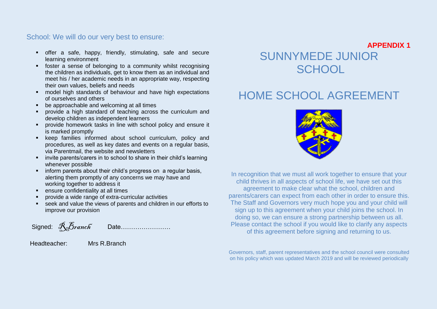# School: We will do our very best to ensure:

- offer a safe, happy, friendly, stimulating, safe and secure learning environment
- foster a sense of belonging to a community whilst recognising the children as individuals, get to know them as an individual and meet his / her academic needs in an appropriate way, respecting their own values, beliefs and needs
- model high standards of behaviour and have high expectations of ourselves and others
- be approachable and welcoming at all times
- provide a high standard of teaching across the curriculum and develop children as independent learners
- **Provide homework tasks in line with school policy and ensure it** is marked promptly
- **EXECT:** keep families informed about school curriculum, policy and procedures, as well as key dates and events on a regular basis, via Parentmail, the website and newsletters
- **EXEDENT** invite parents/carers in to school to share in their child's learning whenever possible
- **F** inform parents about their child's progress on a regular basis, alerting them promptly of any concerns we may have and working together to address it
- **EXECUTE:** ensure confidentiality at all times
- provide a wide range of extra-curricular activities
- seek and value the views of parents and children in our efforts to improve our provision

Signed: RBranch Date……………………

Headteacher: Mrs R.Branch

# SUNNYMEDE JUNIOR **SCHOOL**

# HOME SCHOOL AGREEMENT



In recognition that we must all work together to ensure that your child thrives in all aspects of school life, we have set out this agreement to make clear what the school, children and parents/carers can expect from each other in order to ensure this. The Staff and Governors very much hope you and your child will sign up to this agreement when your child joins the school. In doing so, we can ensure a strong partnership between us all. Please contact the school if you would like to clarify any aspects of this agreement before signing and returning to us.

Governors, staff, parent representatives and the school council were consulted on his policy which was updated March 2019 and will be reviewed periodically

**APPENDIX 1**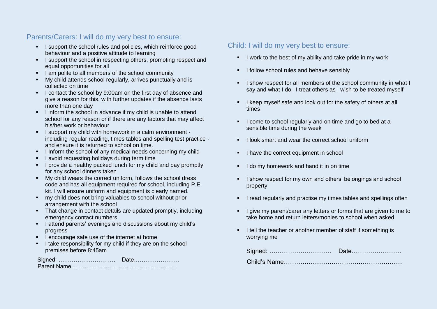# Parents/Carers: I will do my very best to ensure:

- I support the school rules and policies, which reinforce good behaviour and a positive attitude to learning
- I support the school in respecting others, promoting respect and equal opportunities for all
- I am polite to all members of the school community
- My child attends school regularly, arrives punctually and is collected on time
- I contact the school by 9:00am on the first day of absence and give a reason for this, with further updates if the absence lasts more than one day
- I inform the school in advance if my child is unable to attend school for any reason or if there are any factors that may affect his/her work or behaviour
- I support my child with homework in a calm environment including regular reading, times tables and spelling test practice and ensure it is returned to school on time.
- I Inform the school of any medical needs concerning my child
- I avoid requesting holidays during term time
- **I** provide a healthy packed lunch for my child and pay promptly for any school dinners taken
- My child wears the correct uniform, follows the school dress code and has all equipment required for school, including P.E. kit. I will ensure uniform and equipment is clearly named.
- my child does not bring valuables to school without prior arrangement with the school
- That change in contact details are updated promptly, including emergency contact numbers
- I attend parents' evenings and discussions about my child's progress
- I encourage safe use of the internet at home
- I take responsibility for my child if they are on the school premises before 8:45am

| _______________________________ |
|---------------------------------|
|                                 |

# Child: I will do my very best to ensure:

- I work to the best of my ability and take pride in my work
- $\blacksquare$  I follow school rules and behave sensibly
- I show respect for all members of the school community in what I say and what I do. I treat others as I wish to be treated myself
- I keep myself safe and look out for the safety of others at all times
- I come to school regularly and on time and go to bed at a sensible time during the week
- $\blacksquare$  I look smart and wear the correct school uniform
- I have the correct equipment in school
- I do my homework and hand it in on time
- I show respect for my own and others' belongings and school property
- **I** read regularly and practise my times tables and spellings often
- I give my parent/carer any letters or forms that are given to me to take home and return letters/monies to school when asked
- I tell the teacher or another member of staff if something is worrying me

| I <del>U</del> U.             |  |
|-------------------------------|--|
| nild's Name……………………………………………… |  |